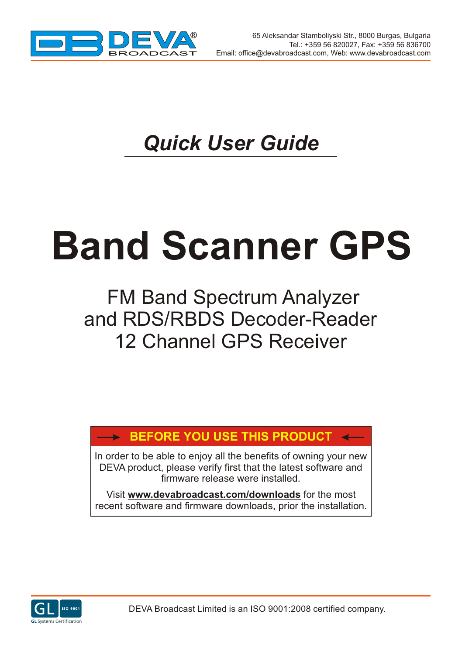

## *Quick User Guide*

# **Band Scanner GPS**

### FM Band Spectrum Analyzer and RDS/RBDS Decoder-Reader 12 Channel GPS Receiver

#### **BEFORE YOU USE THIS PRODUCT**

In order to be able to enjoy all the benefits of owning your new DEVA product, please verify first that the latest software and firmware release were installed.

Visit **www.devabroadcast.com/downloads** for the most recent software and firmware downloads, prior the installation.

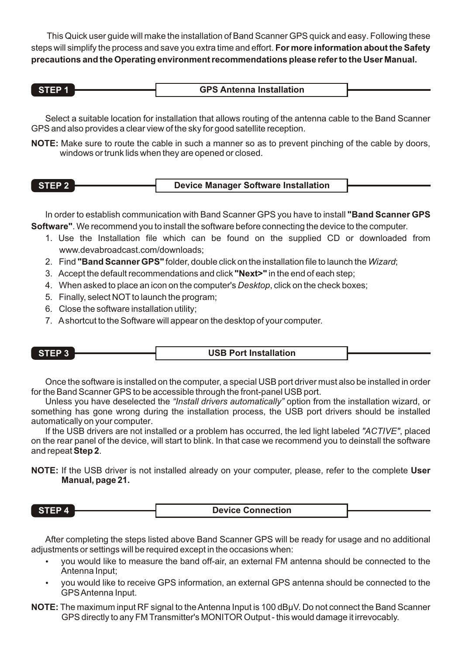This Quick user guide will make the installation of Band Scanner GPS quick and easy. Following these steps will simplify the process and save you extra time and effort. **For more information about the Safety precautions and the Operating environment recommendations please refer to the User Manual.**

Select a suitable location for installation that allows routing of the antenna cable to the Band Scanner GPS and also provides a clear view of the sky for good satellite reception.

**NOTE:** Make sure to route the cable in such a manner so as to prevent pinching of the cable by doors, windows or trunk lids when they are opened or closed.

| STEP 2 | Device Manager Software Installation |
|--------|--------------------------------------|
|        |                                      |

In order to establish communication with Band Scanner GPS you have to install **"Band Scanner GPS Software"**. We recommend you to install the software before connecting the device to the computer.

- 1. Use the Installation file which can be found on the supplied CD or downloaded from www.devabroadcast.com/downloads;
- 2. Find **"Band Scanner GPS"** folder, double click on the installation file to launch the *Wizard*;
- 3. Accept the default recommendations and click **"Next>"** in the end of each step;
- 4. When asked to place an icon on the computer's *Desktop*, click on the check boxes;
- 5. Finally, select NOT to launch the program;
- 6. Close the software installation utility;
- 7. Ashortcut to the Software will appear on the desktop of your computer.

| STEP <sup>2</sup> | <b>USB Port Installation</b> |  |
|-------------------|------------------------------|--|
|                   |                              |  |

Once the software is installed on the computer, a special USB port driver must also be installed in order for the Band Scanner GPS to be accessible through the front-panel USB port.

Unless you have deselected the *"Install drivers automatically"* option from the installation wizard, or something has gone wrong during the installation process, the USB port drivers should be installed automatically on your computer.

If the USB drivers are not installed or a problem has occurred, the led light labeled *"ACTIVE"*, placed on the rear panel of the device, will start to blink. In that case we recommend you to deinstall the software and repeat **Step 2**.

**NOTE:** If the USB driver is not installed already on your computer, please, refer to the complete **User Manual, page 21.**

**STEP 4 Device Connection**

After completing the steps listed above Band Scanner GPS will be ready for usage and no additional adjustments or settings will be required except in the occasions when:

- ustments or settings will be required except in the occasions when:<br>• you would like to measure the band off-air, an external FM antenna should be connected to the
- ?Antenna Input; you would like to receive GPS information, an external GPS antenna should be connected to the GPS Antenna Input.
- **NOTE:** The maximum input RF signal to the Antenna Input is 100 dBµV. Do not connect the Band Scanner GPSdirectly to any FM Transmitter's MONITOR Output - this would damage it irrevocably.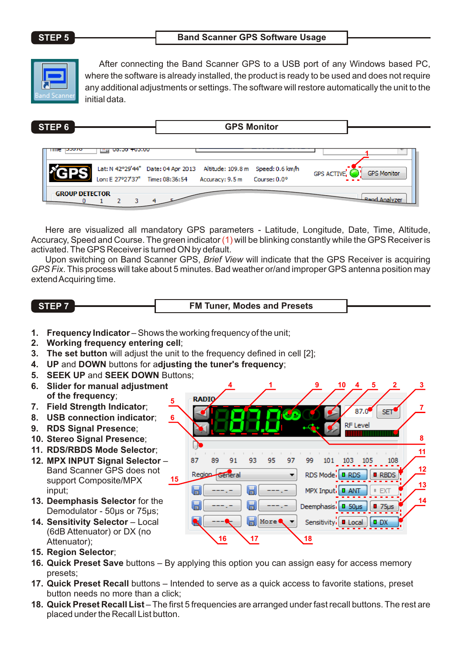#### **STEP 5 Band Scanner GPS Software Usage**



After connecting the Band Scanner GPS to a USB port of any Windows based PC, where the software is already installed, the product is ready to be used and does not require any additional adjustments or settings. The software will restore automatically the unit to the initial data.

| STEP 6                |                                 |                                                                                                      | <b>GPS Monitor</b> |                    |                       |
|-----------------------|---------------------------------|------------------------------------------------------------------------------------------------------|--------------------|--------------------|-----------------------|
| THE DOOR              | 00.00 100.00                    |                                                                                                      |                    |                    |                       |
|                       | Lon: E 27°27'37" Time: 08:36:54 | Lat: N 42°29'44" Date: 04 Apr 2013 Altitude: 109.8 m Speed: 0.6 km/h<br>Accuracy: 9.5 m Course: 0.0° |                    | <b>GPS ACTIVE.</b> | <b>GPS Monitor</b>    |
| <b>GROUP DETECTOR</b> |                                 |                                                                                                      |                    |                    | <b>LRand Analyzer</b> |

Here are visualized all mandatory GPS parameters - Latitude, Longitude, Date, Time, Altitude, Accuracy, Speed and Course. The green indicator  $(1)$  will be blinking constantly while the GPS Receiver is  $\,$ activated. The GPS Receiver is turned ON by default.

Upon switching on Band Scanner GPS, *Brief View* will indicate that the GPS Receiver is acquiring *GPS Fix*. This process will take about 5 minutes. Bad weather or/and improper GPS antenna position may extend Acquiring time.

| STEP <sub>7</sub> | <b>FM Tuner. Modes and Presets</b> |  |
|-------------------|------------------------------------|--|
|                   |                                    |  |

- 1. **Frequency Indicator** Shows the working frequency of the unit:
- **2. Working frequency entering cell**;
- **3. The set button** will adjust the unit to the frequency defined in cell [2];
- **4. UP** and **DOWN** buttons for a**djusting the tuner's frequency**;
- **5. SEEK UP** and **SEEK DOWN** Buttons;
- **6. Slider for manual adjustment of the frequency**;
- **7. Field Strength Indicator**;
- **8. USB connection indicator**;
- **9. RDS Signal Presence**;
- **10. Stereo Signal Presence**;
- **11. RDS/RBDS Mode Selector**;
- **12. MPX INPUT Signal Selector** Band Scanner GPS does not support Composite/MPX input;
- **13. Deemphasis Selector** for the Demodulator - 50us or 75us;
- **14. Sensitivity Selector**  Local (6dB Attenuator) or DX (no Attenuator);
- **15. Region Selector**;
- **16. Quick Preset Save** buttons By applying this option you can assign easy for access memory presets;
- **17. Quick Preset Recall** buttons Intended to serve as a quick access to favorite stations, preset button needs no more than a click;
- **18. Quick Preset Recall List**  The first 5 frequencies are arranged under fast recall buttons. The rest are placed under the Recall List button.